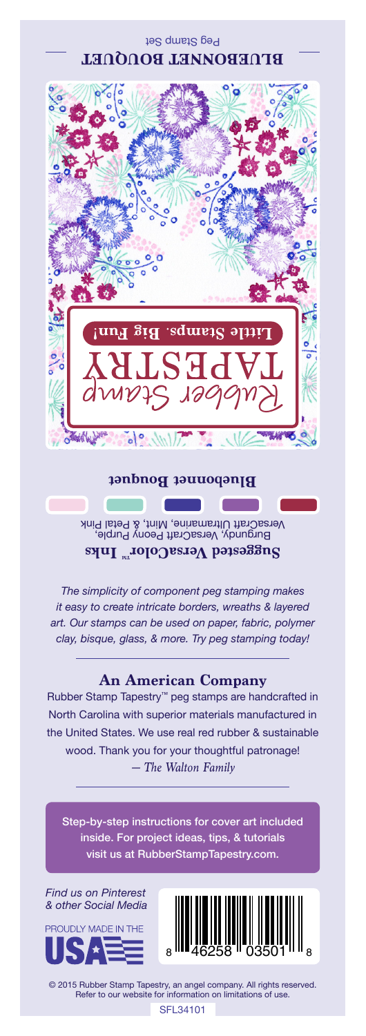Peg Stamp Set **BLUEBONNET BOUQUET**



## **Bluebonnet Bouquet**

Burgundy, VersaCraft Peony Purple, VersaCraft Ultramarine, Mint, & Petal Pink Suggested VersaColor<sup>m</sup> Inks

*The simplicity of component peg stamping makes it easy to create intricate borders, wreaths & layered art. Our stamps can be used on paper, fabric, polymer clay, bisque, glass, & more. Try peg stamping today!*

## **An American Company**

*— The Walton Family* Rubber Stamp Tapestry™ peg stamps are handcrafted in North Carolina with superior materials manufactured in the United States. We use real red rubber & sustainable wood. Thank you for your thoughtful patronage!

Step-by-step instructions for cover art included inside. For project ideas, tips, & tutorials visit us at RubberStampTapestry.com.

*Find us on Pinterest & other Social Media*





© 2015 Rubber Stamp Tapestry, an angel company. All rights reserved. Refer to our website for information on limitations of use.